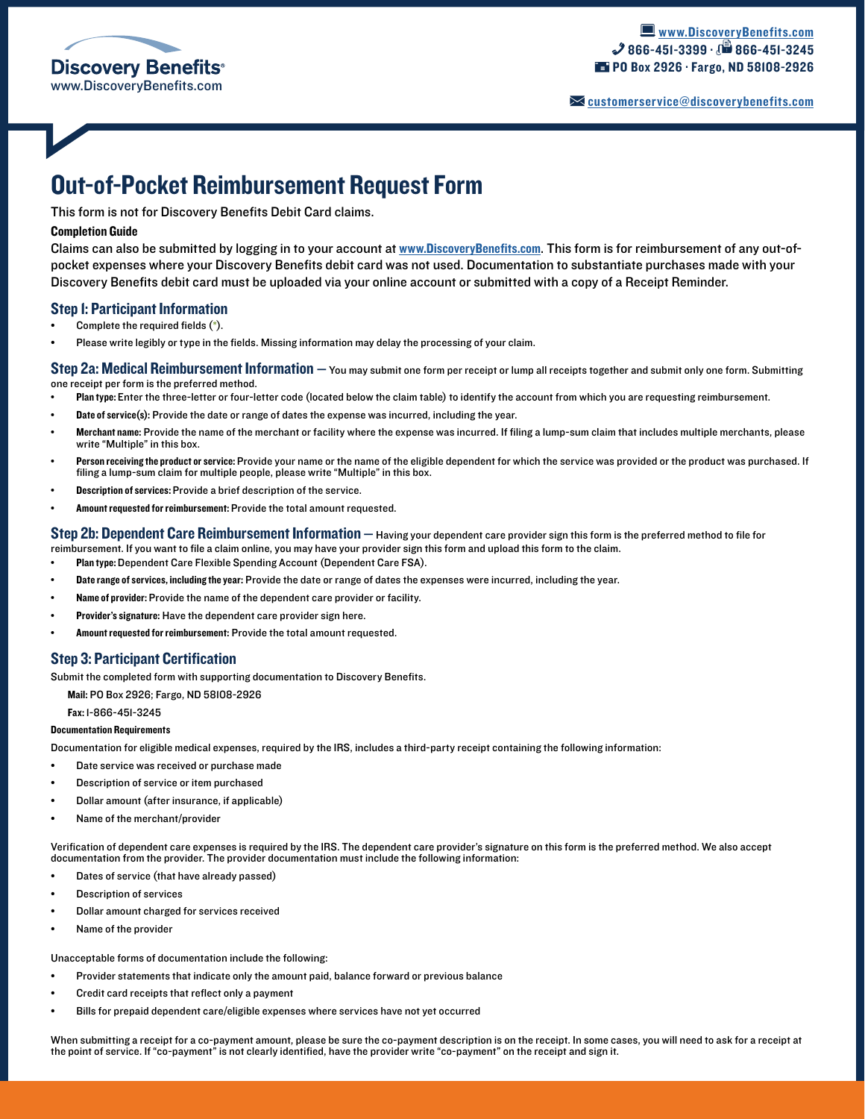

[customerservice@discoverybenefits.com](mailto:customerservice%40discoverybenefits.com?subject=)

# Out-of-Pocket Reimbursement Request Form

This form is not for Discovery Benefits Debit Card claims.

### Completion Guide

Claims can also be submitted by logging in to your account at [www.DiscoveryBenefits.com](www.discoverybenefits.com). This form is for reimbursement of any out-ofpocket expenses where your Discovery Benefits debit card was not used. Documentation to substantiate purchases made with your Discovery Benefits debit card must be uploaded via your online account or submitted with a copy of a Receipt Reminder.

### Step 1: Participant Information

- Complete the required fields (\*).
- Please write legibly or type in the fields. Missing information may delay the processing of your claim.

Step 2a: Medical Reimbursement Information — You may submit one form per receipt or lump all receipts together and submit only one form. Submitting one receipt per form is the preferred method.

- Plan type: Enter the three-letter or four-letter code (located below the claim table) to identify the account from which you are requesting reimbursement.
- Date of service(s): Provide the date or range of dates the expense was incurred, including the year.
- Merchant name: Provide the name of the merchant or facility where the expense was incurred. If filing a lump-sum claim that includes multiple merchants, please write "Multiple" in this box.
- Person receiving the product or service: Provide your name or the name of the eligible dependent for which the service was provided or the product was purchased. If filing a lump-sum claim for multiple people, please write "Multiple" in this box.
- Description of services: Provide a brief description of the service.
- Amount requested for reimbursement: Provide the total amount requested.

Step 2b: Dependent Care Reimbursement Information - Having your dependent care provider sign this form is the preferred method to file for reimbursement. If you want to file a claim online, you may have your provider sign this form and upload this form to the claim.

- Plan type: Dependent Care Flexible Spending Account (Dependent Care FSA).
- Date range of services, including the year: Provide the date or range of dates the expenses were incurred, including the year.
- Name of provider: Provide the name of the dependent care provider or facility.
- Provider's signature: Have the dependent care provider sign here.
- Amount requested for reimbursement: Provide the total amount requested.

## Step 3: Participant Certification

Submit the completed form with supporting documentation to Discovery Benefits.

Mail: PO Box 2926; Fargo, ND 58108-2926

Fax: 1-866-451-3245

#### Documentation Requirements

Documentation for eligible medical expenses, required by the IRS, includes a third-party receipt containing the following information:

- Date service was received or purchase made
- Description of service or item purchased
- Dollar amount (after insurance, if applicable)
- Name of the merchant/provider

Verification of dependent care expenses is required by the IRS. The dependent care provider's signature on this form is the preferred method. We also accept documentation from the provider. The provider documentation must include the following information:

- Dates of service (that have already passed)
- Description of services
- Dollar amount charged for services received
- Name of the provider

Unacceptable forms of documentation include the following:

- Provider statements that indicate only the amount paid, balance forward or previous balance
- Credit card receipts that reflect only a payment
- Bills for prepaid dependent care/eligible expenses where services have not yet occurred

When submitting a receipt for a co-payment amount, please be sure the co-payment description is on the receipt. In some cases, you will need to ask for a receipt at the point of service. If "co-payment" is not clearly identified, have the provider write "co-payment" on the receipt and sign it.